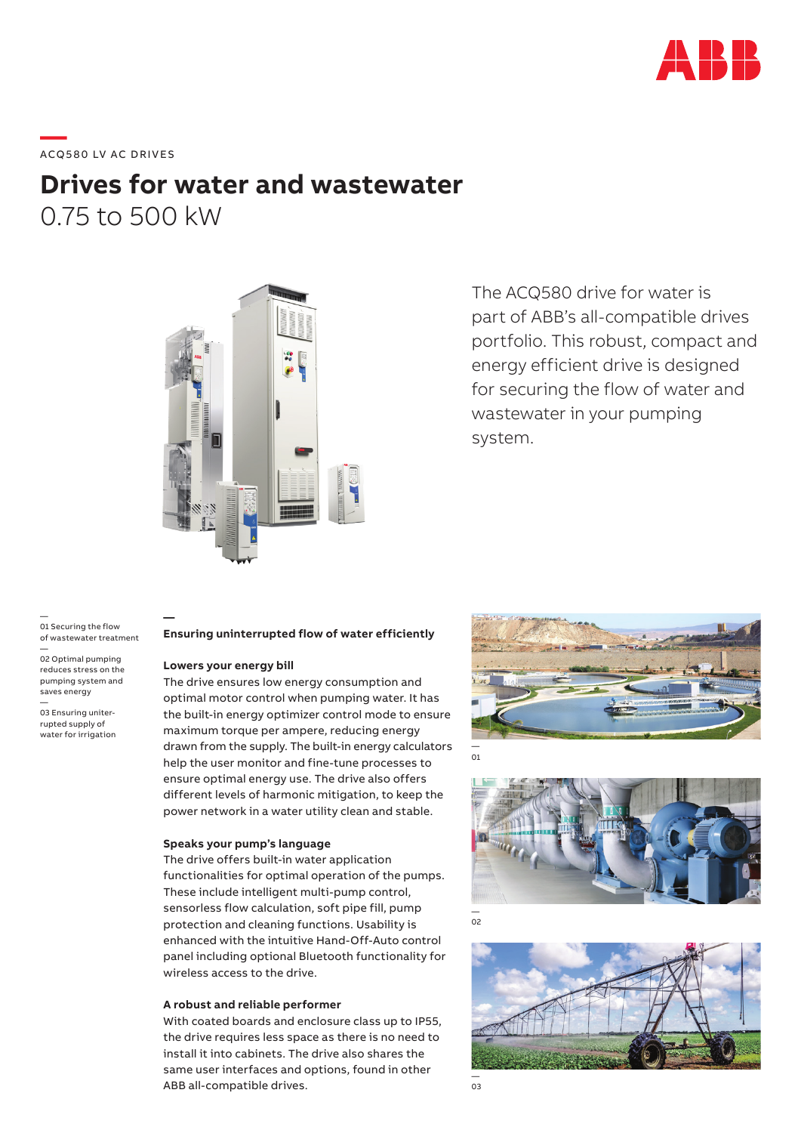

# **—**  ACQ580 LV AC DRIVES

# **Drives for water and wastewater** 0.75 to 500 kW



The ACQ580 drive for water is part of ABB's all-compatible drives portfolio. This robust, compact and energy efficient drive is designed for securing the flow of water and wastewater in your pumping system.

— 01 Securing the flow of wastewater treatment — 02 Optimal pumping

reduces stress on the pumping system and saves energy

— 03 Ensuring uniterrupted supply of water for irrigation

#### **Ensuring uninterrupted flow of water efficiently**

#### **Lowers your energy bill**

**—**

The drive ensures low energy consumption and optimal motor control when pumping water. It has the built-in energy optimizer control mode to ensure maximum torque per ampere, reducing energy drawn from the supply. The built-in energy calculators help the user monitor and fine-tune processes to ensure optimal energy use. The drive also offers different levels of harmonic mitigation, to keep the power network in a water utility clean and stable.

#### **Speaks your pump's language**

The drive offers built-in water application functionalities for optimal operation of the pumps. These include intelligent multi-pump control, sensorless flow calculation, soft pipe fill, pump protection and cleaning functions. Usability is enhanced with the intuitive Hand-Off-Auto control panel including optional Bluetooth functionality for wireless access to the drive.

#### **A robust and reliable performer**

With coated boards and enclosure class up to IP55, the drive requires less space as there is no need to install it into cabinets. The drive also shares the same user interfaces and options, found in other ABB all-compatible drives.



— 01